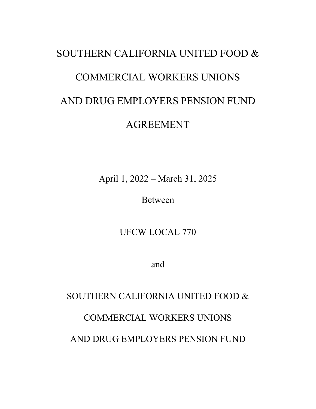# SOUTHERN CALIFORNIA UNITED FOOD & COMMERCIAL WORKERS UNIONS AND DRUG EMPLOYERS PENSION FUND AGREEMENT

April 1, 2022 – March 31, 2025

Between

UFCW LOCAL 770

and

## SOUTHERN CALIFORNIA UNITED FOOD &

### COMMERCIAL WORKERS UNIONS

AND DRUG EMPLOYERS PENSION FUND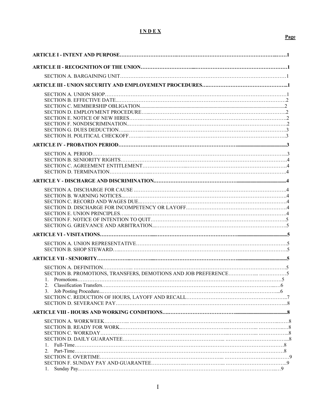#### **I N D E X**

|--|

| 2.<br>3. |  |
|----------|--|
|          |  |
|          |  |
|          |  |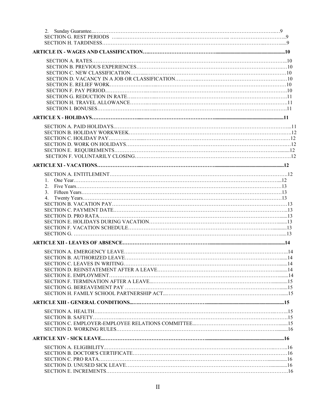| $\mathcal{E}$ |  |
|---------------|--|
|               |  |
|               |  |
|               |  |
|               |  |
|               |  |
|               |  |
|               |  |
|               |  |
|               |  |
|               |  |
|               |  |
|               |  |
|               |  |
|               |  |
|               |  |
|               |  |
|               |  |
|               |  |
|               |  |
|               |  |
|               |  |
|               |  |
|               |  |
|               |  |
|               |  |
|               |  |
|               |  |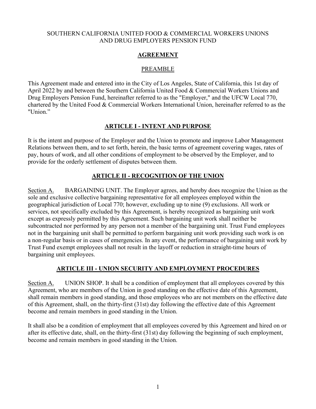#### SOUTHERN CALIFORNIA UNITED FOOD & COMMERCIAL WORKERS UNIONS AND DRUG EMPLOYERS PENSION FUND

#### **AGREEMENT**

#### PREAMBLE

This Agreement made and entered into in the City of Los Angeles, State of California, this 1st day of April 2022 by and between the Southern California United Food & Commercial Workers Unions and Drug Employers Pension Fund, hereinafter referred to as the "Employer," and the UFCW Local 770, chartered by the United Food & Commercial Workers International Union, hereinafter referred to as the "Union."

#### **ARTICLE I - INTENT AND PURPOSE**

It is the intent and purpose of the Employer and the Union to promote and improve Labor Management Relations between them, and to set forth, herein, the basic terms of agreement covering wages, rates of pay, hours of work, and all other conditions of employment to be observed by the Employer, and to provide for the orderly settlement of disputes between them.

### **ARTICLE II - RECOGNITION OF THE UNION**

Section A. BARGAINING UNIT. The Employer agrees, and hereby does recognize the Union as the sole and exclusive collective bargaining representative for all employees employed within the geographical jurisdiction of Local 770; however, excluding up to nine (9) exclusions. All work or services, not specifically excluded by this Agreement, is hereby recognized as bargaining unit work except as expressly permitted by this Agreement. Such bargaining unit work shall neither be subcontracted nor performed by any person not a member of the bargaining unit. Trust Fund employees not in the bargaining unit shall be permitted to perform bargaining unit work providing such work is on a non-regular basis or in cases of emergencies. In any event, the performance of bargaining unit work by Trust Fund exempt employees shall not result in the layoff or reduction in straight-time hours of bargaining unit employees.

#### **ARTICLE III - UNION SECURITY AND EMPLOYMENT PROCEDURES**

Section A. UNION SHOP. It shall be a condition of employment that all employees covered by this Agreement, who are members of the Union in good standing on the effective date of this Agreement, shall remain members in good standing, and those employees who are not members on the effective date of this Agreement, shall, on the thirty-first (31st) day following the effective date of this Agreement become and remain members in good standing in the Union.

It shall also be a condition of employment that all employees covered by this Agreement and hired on or after its effective date, shall, on the thirty-first (31st) day following the beginning of such employment, become and remain members in good standing in the Union.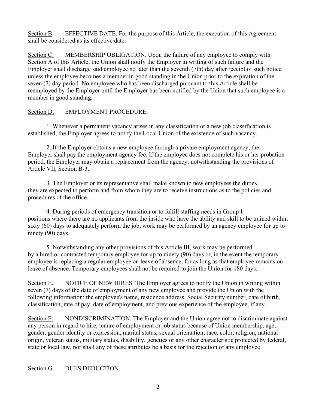Section B. EFFECTIVE DATE. For the purpose of this Article, the execution of this Agreement shall be considered as its effective date.

Section C. MEMBERSHIP OBLIGATION. Upon the failure of any employee to comply with Section A of this Article, the Union shall notify the Employer in writing of such failure and the Employer shall discharge said employee no later than the seventh (7th) day after receipt of such notice unless the employee becomes a member in good standing in the Union prior to the expiration of the seven (7) day period. No employee who has been discharged pursuant to this Article shall be reemployed by the Employer until the Employer has been notified by the Union that such employee is a member in good standing.

#### Section D. EMPLOYMENT PROCEDURE.

1. Whenever a permanent vacancy arises in any classification or a new job classification is established, the Employer agrees to notify the Local Union of the existence of such vacancy.

2. If the Employer obtains a new employee through a private employment agency, the Employer shall pay the employment agency fee. If the employee does not complete his or her probation period, the Employer may obtain a replacement from the agency; notwithstanding the provisions of Article VII, Section B-3.

3. The Employer or its representative shall make known to new employees the duties they are expected to perform and from whom they are to receive instructions as to the policies and procedures of the office.

4. During periods of emergency transition or to fulfill staffing needs in Group I positions where there are no applicants from the inside who have the ability and skill to be trained within sixty (60) days to adequately perform the job, work may be performed by an agency employee for up to ninety (90) days.

5. Notwithstanding any other provisions of this Article III, work may be performed by a hired or contracted temporary employee for up to ninety (90) days or, in the event the temporary employee is replacing a regular employee on leave of absence, for as long as that employee remains on leave of absence. Temporary employees shall not be required to join the Union for 180 days.

Section E. NOTICE OF NEW HIRES. The Employer agrees to notify the Union in writing within seven (7) days of the date of employment of any new employee and provide the Union with the following information: the employee's name, residence address, Social Security number, date of birth, classification, rate of pay, date of employment, and previous experience of the employee, if any.

Section F. NONDISCRIMINATION. The Employer and the Union agree not to discriminate against any person in regard to hire, tenure of employment or job status because of Union membership, age, gender, gender identity or expression, marital status, sexual orientation, race, color, religion, national origin, veteran status, military status, disability, genetics or any other characteristic protected by federal, state or local law, nor shall any of these attributes be a basis for the rejection of any employee

#### Section G. DUES DEDUCTION.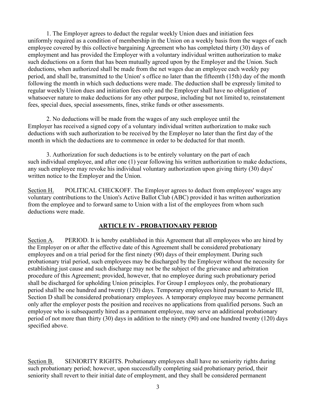1. The Employer agrees to deduct the regular weekly Union dues and initiation fees uniformly required as a condition of membership in the Union on a weekly basis from the wages of each employee covered by this collective bargaining Agreement who has completed thirty (30) days of employment and has provided the Employer with a voluntary individual written authorization to make such deductions on a form that has been mutually agreed upon by the Employer and the Union. Such deductions, when authorized shall be made from the net wages due an employee each weekly pay period, and shall be, transmitted to the Union' s office no later than the fifteenth (15th) day of the month following the month in which such deductions were made. The deduction shall be expressly limited to regular weekly Union dues and initiation fees only and the Employer shall have no obligation of whatsoever nature to make deductions for any other purpose, including but not limited to, reinstatement fees, special dues, special assessments, fines, strike funds or other assessments.

2. No deductions will be made from the wages of any such employee until the Employer has received a signed copy of a voluntary individual written authorization to make such deductions with such authorization to be received by the Employer no later than the first day of the month in which the deductions are to commence in order to be deducted for that month.

3. Authorization for such deductions is to be entirely voluntary on the part of each such individual employee, and after one (1) year following his written authorization to make deductions, any such employee may revoke his individual voluntary authorization upon giving thirty (30) days' written notice to the Employer and the Union.

Section H. POLITICAL CHECKOFF. The Employer agrees to deduct from employees' wages any voluntary contributions to the Union's Active Ballot Club (ABC) provided it has written authorization from the employee and to forward same to Union with a list of the employees from whom such deductions were made.

#### **ARTICLE IV - PROBATIONARY PERIOD**

Section A. PERIOD. It is hereby established in this Agreement that all employees who are hired by the Employer on or after the effective date of this Agreement shall be considered probationary employees and on a trial period for the first ninety (90) days of their employment. During such probationary trial period, such employees may be discharged by the Employer without the necessity for establishing just cause and such discharge may not be the subject of the grievance and arbitration procedure of this Agreement; provided, however, that no employee during such probationary period shall be discharged for upholding Union principles. For Group I employees only, the probationary period shall be one hundred and twenty (120) days. Temporary employees hired pursuant to Article III, Section D shall be considered probationary employees. A temporary employee may become permanent only after the employer posts the position and receives no applications from qualified persons. Such an employee who is subsequently hired as a permanent employee, may serve an additional probationary period of not more than thirty (30) days in addition to the ninety (90) and one hundred twenty (120) days specified above.

Section B. SENIORITY RIGHTS. Probationary employees shall have no seniority rights during such probationary period; however, upon successfully completing said probationary period, their seniority shall revert to their initial date of employment, and they shall be considered permanent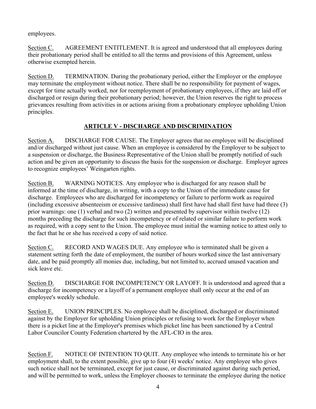employees.

Section C. AGREEMENT ENTITLEMENT. It is agreed and understood that all employees during their probationary period shall be entitled to all the terms and provisions of this Agreement, unless otherwise exempted herein.

Section D. TERMINATION. During the probationary period, either the Employer or the employee may terminate the employment without notice. There shall be no responsibility for payment of wages, except for time actually worked, nor for reemployment of probationary employees, if they are laid off or discharged or resign during their probationary period; however, the Union reserves the right to process grievances resulting from activities in or actions arising from a probationary employee upholding Union principles.

#### **ARTICLE V - DISCHARGE AND DISCRIMINATION**

Section A. DISCHARGE FOR CAUSE. The Employer agrees that no employee will be disciplined and/or discharged without just cause. When an employee is considered by the Employer to be subject to a suspension or discharge, the Business Representative of the Union shall be promptly notified of such action and be given an opportunity to discuss the basis for the suspension or discharge. Employer agrees to recognize employees' Weingarten rights.

Section B. WARNING NOTICES. Any employee who is discharged for any reason shall be informed at the time of discharge, in writing, with a copy to the Union of the immediate cause for discharge. Employees who are discharged for incompetency or failure to perform work as required (including excessive absenteeism or excessive tardiness) shall first have had shall first have had three (3) prior warnings: one (1) verbal and two (2) written and presented by supervisor within twelve (12) months preceding the discharge for such incompetency or of related or similar failure to perform work as required, with a copy sent to the Union. The employee must initial the warning notice to attest only to the fact that he or she has received a copy of said notice.

Section C. RECORD AND WAGES DUE. Any employee who is terminated shall be given a statement setting forth the date of employment, the number of hours worked since the last anniversary date, and be paid promptly all monies due, including, but not limited to, accrued unused vacation and sick leave etc.

Section D. DISCHARGE FOR INCOMPETENCY OR LAYOFF. It is understood and agreed that a discharge for incompetency or a layoff of a permanent employee shall only occur at the end of an employee's weekly schedule.

Section E. UNION PRINCIPLES. No employee shall be disciplined, discharged or discriminated against by the Employer for upholding Union principles or refusing to work for the Employer when there is a picket line at the Employer's premises which picket line has been sanctioned by a Central Labor Councilor County Federation chartered by the AFL-CIO in the area.

Section F. NOTICE OF INTENTION TO QUIT. Any employee who intends to terminate his or her employment shall, to the extent possible, give up to four (4) weeks' notice. Any employee who gives such notice shall not be terminated, except for just cause, or discriminated against during such period, and will be permitted to work, unless the Employer chooses to terminate the employee during the notice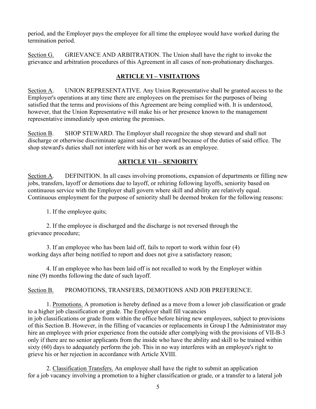period, and the Employer pays the employee for all time the employee would have worked during the termination period.

Section G. GRIEVANCE AND ARBITRATION. The Union shall have the right to invoke the grievance and arbitration procedures of this Agreement in all cases of non-probationary discharges.

### **ARTICLE VI – VISITATIONS**

Section A. UNION REPRESENTATIVE. Any Union Representative shall be granted access to the Employer's operations at any time there are employees on the premises for the purposes of being satisfied that the terms and provisions of this Agreement are being complied with. It is understood, however, that the Union Representative will make his or her presence known to the management representative immediately upon entering the premises.

Section B. SHOP STEWARD. The Employer shall recognize the shop steward and shall not discharge or otherwise discriminate against said shop steward because of the duties of said office. The shop steward's duties shall not interfere with his or her work as an employee.

### **ARTICLE VII – SENIORITY**

Section A. DEFINITION. In all cases involving promotions, expansion of departments or filling new jobs, transfers, layoff or demotions due to layoff, or rehiring following layoffs, seniority based on continuous service with the Employer shall govern where skill and ability are relatively equal. Continuous employment for the purpose of seniority shall be deemed broken for the following reasons:

1. If the employee quits;

2. If the employee is discharged and the discharge is not reversed through the grievance procedure;

3. If an employee who has been laid off, fails to report to work within four (4) working days after being notified to report and does not give a satisfactory reason;

4. If an employee who has been laid off is not recalled to work by the Employer within nine (9) months following the date of such layoff.

Section B. PROMOTIONS, TRANSFERS, DEMOTIONS AND JOB PREFERENCE.

1. Promotions. A promotion is hereby defined as a move from a lower job classification or grade to a higher job classification or grade. The Employer shall fill vacancies in job classifications or grade from within the office before hiring new employees, subject to provisions of this Section B. However, in the filling of vacancies or replacements in Group I the Administrator may hire an employee with prior experience from the outside after complying with the provisions of VII-B-3 only if there are no senior applicants from the inside who have the ability and skill to be trained within sixty (60) days to adequately perform the job. This in no way interferes with an employee's right to grieve his or her rejection in accordance with Article XVIII.

2. Classification Transfers. An employee shall have the right to submit an application for a job vacancy involving a promotion to a higher classification or grade, or a transfer to a lateral job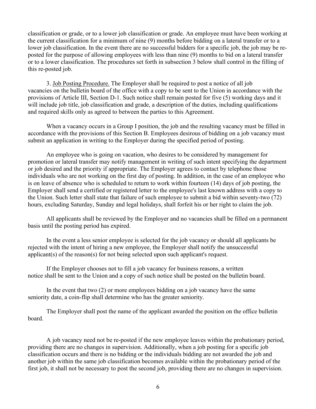classification or grade, or to a lower job classification or grade. An employee must have been working at the current classification for a minimum of nine (9) months before bidding on a lateral transfer or to a lower job classification. In the event there are no successful bidders for a specific job, the job may be reposted for the purpose of allowing employees with less than nine (9) months to bid on a lateral transfer or to a lower classification. The procedures set forth in subsection 3 below shall control in the filling of this re-posted job.

3. Job Posting Procedure. The Employer shall be required to post a notice of all job vacancies on the bulletin board of the office with a copy to be sent to the Union in accordance with the provisions of Article III, Section D-1. Such notice shall remain posted for five (5) working days and it will include job title, job classification and grade, a description of the duties, including qualifications and required skills only as agreed to between the parties to this Agreement.

When a vacancy occurs in a Group I position, the job and the resulting vacancy must be filled in accordance with the provisions of this Section B. Employees desirous of bidding on a job vacancy must submit an application in writing to the Employer during the specified period of posting.

An employee who is going on vacation, who desires to be considered by management for promotion or lateral transfer may notify management in writing of such intent specifying the department or job desired and the priority if appropriate. The Employer agrees to contact by telephone those individuals who are not working on the first day of posting. In addition, in the case of an employee who is on leave of absence who is scheduled to return to work within fourteen (14) days of job posting, the Employer shall send a certified or registered letter to the employee's last known address with a copy to the Union. Such letter shall state that failure of such employee to submit a bid within seventy-two (72) hours, excluding Saturday, Sunday and legal holidays, shall forfeit his or her right to claim the job.

All applicants shall be reviewed by the Employer and no vacancies shall be filled on a permanent basis until the posting period has expired.

In the event a less senior employee is selected for the job vacancy or should all applicants be rejected with the intent of hiring a new employee, the Employer shall notify the unsuccessful applicant(s) of the reason(s) for not being selected upon such applicant's request.

If the Employer chooses not to fill a job vacancy for business reasons, a written notice shall be sent to the Union and a copy of such notice shall be posted on the bulletin board.

In the event that two (2) or more employees bidding on a job vacancy have the same seniority date, a coin-flip shall determine who has the greater seniority.

The Employer shall post the name of the applicant awarded the position on the office bulletin board.

A job vacancy need not be re-posted if the new employee leaves within the probationary period, providing there are no changes in supervision. Additionally, when a job posting for a specific job classification occurs and there is no bidding or the individuals bidding are not awarded the job and another job within the same job classification becomes available within the probationary period of the first job, it shall not be necessary to post the second job, providing there are no changes in supervision.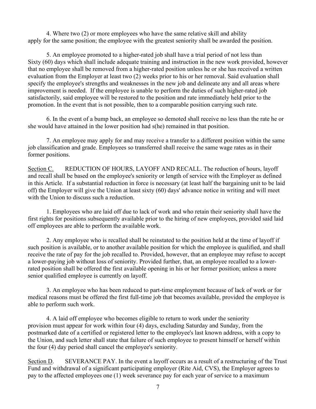4. Where two (2) or more employees who have the same relative skill and ability apply for the same position; the employee with the greatest seniority shall be awarded the position.

5. An employee promoted to a higher-rated job shall have a trial period of not less than Sixty (60) days which shall include adequate training and instruction in the new work provided, however that no employee shall be removed from a higher-rated position unless he or she has received a written evaluation from the Employer at least two (2) weeks prior to his or her removal. Said evaluation shall specify the employee's strengths and weaknesses in the new job and delineate any and all areas where improvement is needed. If the employee is unable to perform the duties of such higher-rated job satisfactorily, said employee will be restored to the position and rate immediately held prior to the promotion. In the event that is not possible, then to a comparable position carrying such rate.

6. In the event of a bump back, an employee so demoted shall receive no less than the rate he or she would have attained in the lower position had s(he) remained in that position.

7. An employee may apply for and may receive a transfer to a different position within the same job classification and grade. Employees so transferred shall receive the same wage rates as in their former positions.

Section C. REDUCTION OF HOURS, LAYOFF AND RECALL. The reduction of hours, layoff and recall shall be based on the employee's seniority or length of service with the Employer as defined in this Article. If a substantial reduction in force is necessary (at least half the bargaining unit to be laid off) the Employer will give the Union at least sixty (60) days' advance notice in writing and will meet with the Union to discuss such a reduction.

1. Employees who are laid off due to lack of work and who retain their seniority shall have the first rights for positions subsequently available prior to the hiring of new employees, provided said laid off employees are able to perform the available work.

2. Any employee who is recalled shall be reinstated to the position held at the time of layoff if such position is available, or to another available position for which the employee is qualified, and shall receive the rate of pay for the job recalled to. Provided, however, that an employee may refuse to accept a lower-paying job without loss of seniority. Provided further, that, an employee recalled to a lowerrated position shall be offered the first available opening in his or her former position; unless a more senior qualified employee is currently on layoff.

3. An employee who has been reduced to part-time employment because of lack of work or for medical reasons must be offered the first full-time job that becomes available, provided the employee is able to perform such work.

4. A laid off employee who becomes eligible to return to work under the seniority provision must appear for work within four (4) days, excluding Saturday and Sunday, from the postmarked date of a certified or registered letter to the employee's last known address, with a copy to the Union, and such letter shall state that failure of such employee to present himself or herself within the four (4) day period shall cancel the employee's seniority.

Section D. SEVERANCE PAY. In the event a layoff occurs as a result of a restructuring of the Trust Fund and withdrawal of a significant participating employer (Rite Aid, CVS), the Employer agrees to pay to the affected employees one (1) week severance pay for each year of service to a maximum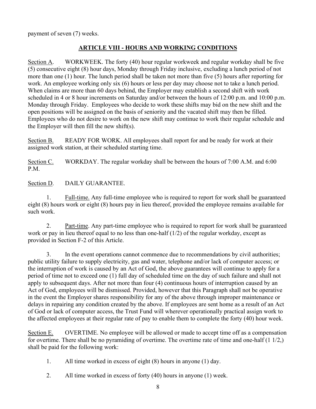payment of seven (7) weeks.

#### **ARTICLE VIII - HOURS AND WORKING CONDITIONS**

Section A. WORKWEEK. The forty (40) hour regular workweek and regular workday shall be five (5) consecutive eight (8) hour days, Monday through Friday inclusive, excluding a lunch period of not more than one (1) hour. The lunch period shall be taken not more than five (5) hours after reporting for work. An employee working only six (6) hours or less per day may choose not to take a lunch period. When claims are more than 60 days behind, the Employer may establish a second shift with work scheduled in 4 or 8 hour increments on Saturday and/or between the hours of 12:00 p.m. and 10:00 p.m. Monday through Friday. Employees who decide to work these shifts may bid on the new shift and the open positions will be assigned on the basis of seniority and the vacated shift may then be filled. Employees who do not desire to work on the new shift may continue to work their regular schedule and the Employer will then fill the new shift(s).

Section B. READY FOR WORK. All employees shall report for and be ready for work at their assigned work station, at their scheduled starting time.

Section C. WORKDAY. The regular workday shall be between the hours of 7:00 A.M. and 6:00 P.M.

Section D. DAILY GUARANTEE.

1. Full-time. Any full-time employee who is required to report for work shall be guaranteed eight (8) hours work or eight (8) hours pay in lieu thereof, provided the employee remains available for such work.

2. Part-time. Any part-time employee who is required to report for work shall be guaranteed work or pay in lieu thereof equal to no less than one-half (1/2) of the regular workday, except as provided in Section F-2 of this Article.

3. In the event operations cannot commence due to recommendations by civil authorities; public utility failure to supply electricity, gas and water, telephone and/or lack of computer access; or the interruption of work is caused by an Act of God, the above guarantees will continue to apply for a period of time not to exceed one (1) full day of scheduled time on the day of such failure and shall not apply to subsequent days. After not more than four (4) continuous hours of interruption caused by an Act of God, employees will be dismissed. Provided, however that this Paragraph shall not be operative in the event the Employer shares responsibility for any of the above through improper maintenance or delays in repairing any condition created by the above. If employees are sent home as a result of an Act of God or lack of computer access, the Trust Fund will wherever operationally practical assign work to the affected employees at their regular rate of pay to enable them to complete the forty (40) hour week.

Section E. OVERTIME. No employee will be allowed or made to accept time off as a compensation for overtime. There shall be no pyramiding of overtime. The overtime rate of time and one-half  $(1\ 1/2)$ , shall be paid for the following work:

- 1. All time worked in excess of eight (8) hours in anyone (1) day.
- 2. All time worked in excess of forty (40) hours in anyone (1) week.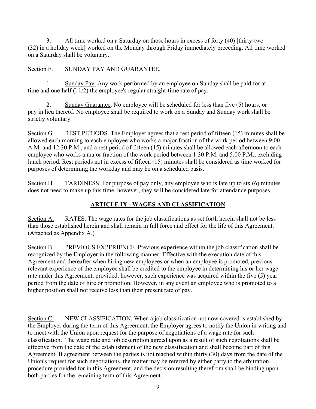3. All time worked on a Saturday on those hours in excess of forty (40) [thirty-two (32) in a holiday week] worked on the Monday through Friday immediately preceding. All time worked on a Saturday shall be voluntary.

#### Section F. SUNDAY PAY AND GUARANTEE.

1. Sunday Pay. Any work performed by an employee on Sunday shall be paid for at time and one-half (1 1/2) the employee's regular straight-time rate of pay.

2. Sunday Guarantee. No employee will be scheduled for less than five (5) hours, or pay in lieu thereof. No employee shall be required to work on a Sunday and Sunday work shall be strictly voluntary.

Section G. REST PERIODS. The Employer agrees that a rest period of fifteen (15) minutes shall be allowed each morning to each employee who works a major fraction of the work period between 9:00 A.M. and 12:30 P.M., and a rest period of fifteen (15) minutes shall be allowed each afternoon to each employee who works a major fraction of the work period between 1:30 P.M. and 5:00 P.M., excluding lunch period. Rest periods not in excess of fifteen (15) minutes shall be considered as time worked for purposes of determining the workday and may be on a scheduled basis.

Section H. TARDINESS. For purpose of pay only, any employee who is late up to six (6) minutes does not need to make up this time, however, they will be considered late for attendance purposes.

### **ARTICLE IX - WAGES AND CLASSIFICATION**

Section A. RATES. The wage rates for the job classifications as set forth herein shall not be less than those established herein and shall remain in full force and effect for the life of this Agreement. (Attached as Appendix A.)

Section B. PREVIOUS EXPERIENCE. Previous experience within the job classification shall be recognized by the Employer in the following manner: Effective with the execution date of this Agreement and thereafter when hiring new employees or when an employee is promoted, previous relevant experience of the employee shall be credited to the employee in determining his or her wage rate under this Agreement, provided, however, such experience was acquired within the five (5) year period from the date of hire or promotion. However, in any event an employee who is promoted to a higher position shall not receive less than their present rate of pay.

Section C. NEW CLASSIFICATION. When a job classification not now covered is established by the Employer during the term of this Agreement, the Employer agrees to notify the Union in writing and to meet with the Union upon request for the purpose of negotiations of a wage rate for such classification. The wage rate and job description agreed upon as a result of such negotiations shall be effective from the date of the establishment of the new classification and shall become part of this Agreement. If agreement between the parties is not reached within thirty (30) days from the date of the Union's request for such negotiations, the matter may be referred by either party to the arbitration procedure provided for in this Agreement, and the decision resulting therefrom shall be binding upon both parties for the remaining term of this Agreement.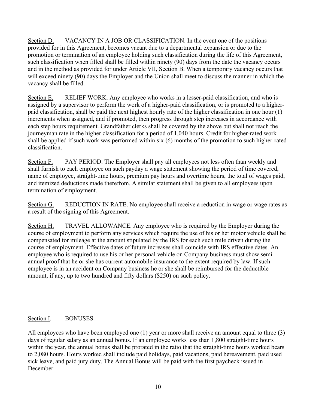Section D. VACANCY IN A JOB OR CLASSIFICATION. In the event one of the positions provided for in this Agreement, becomes vacant due to a departmental expansion or due to the promotion or termination of an employee holding such classification during the life of this Agreement, such classification when filled shall be filled within ninety (90) days from the date the vacancy occurs and in the method as provided for under Article VII, Section B. When a temporary vacancy occurs that will exceed ninety (90) days the Employer and the Union shall meet to discuss the manner in which the vacancy shall be filled.

Section E. RELIEF WORK. Any employee who works in a lesser-paid classification, and who is assigned by a supervisor to perform the work of a higher-paid classification, or is promoted to a higherpaid classification, shall be paid the next highest hourly rate of the higher classification in one hour (1) increments when assigned, and if promoted, then progress through step increases in accordance with each step hours requirement. Grandfather clerks shall be covered by the above but shall not reach the journeyman rate in the higher classification for a period of 1,040 hours. Credit for higher-rated work shall be applied if such work was performed within six (6) months of the promotion to such higher-rated classification.

Section F. PAY PERIOD. The Employer shall pay all employees not less often than weekly and shall furnish to each employee on such payday a wage statement showing the period of time covered, name of employee, straight-time hours, premium pay hours and overtime hours, the total of wages paid, and itemized deductions made therefrom. A similar statement shall be given to all employees upon termination of employment.

Section G. REDUCTION IN RATE. No employee shall receive a reduction in wage or wage rates as a result of the signing of this Agreement.

Section H. TRAVEL ALLOWANCE. Any employee who is required by the Employer during the course of employment to perform any services which require the use of his or her motor vehicle shall be compensated for mileage at the amount stipulated by the IRS for each such mile driven during the course of employment. Effective dates of future increases shall coincide with IRS effective dates. An employee who is required to use his or her personal vehicle on Company business must show semiannual proof that he or she has current automobile insurance to the extent required by law. If such employee is in an accident on Company business he or she shall be reimbursed for the deductible amount, if any, up to two hundred and fifty dollars (\$250) on such policy.

#### Section I. BONUSES.

All employees who have been employed one (1) year or more shall receive an amount equal to three (3) days of regular salary as an annual bonus. If an employee works less than 1,800 straight-time hours within the year, the annual bonus shall be prorated in the ratio that the straight-time hours worked bears to 2,080 hours. Hours worked shall include paid holidays, paid vacations, paid bereavement, paid used sick leave, and paid jury duty. The Annual Bonus will be paid with the first paycheck issued in December.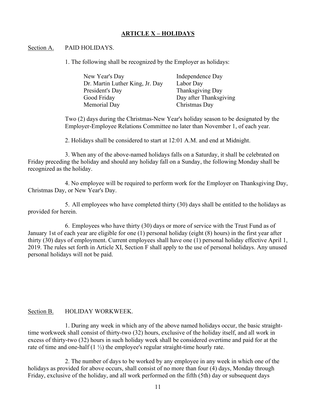#### **ARTICLE X – HOLIDAYS**

#### Section A. PAID HOLIDAYS.

1. The following shall be recognized by the Employer as holidays:

| Independence Day       |
|------------------------|
| Labor Day              |
| Thanksgiving Day       |
| Day after Thanksgiving |
| Christmas Day          |
|                        |

Two (2) days during the Christmas-New Year's holiday season to be designated by the Employer-Employee Relations Committee no later than November 1, of each year.

2. Holidays shall be considered to start at 12:01 A.M. and end at Midnight.

3. When any of the above-named holidays falls on a Saturday, it shall be celebrated on Friday preceding the holiday and should any holiday fall on a Sunday, the following Monday shall be recognized as the holiday.

4. No employee will be required to perform work for the Employer on Thanksgiving Day, Christmas Day, or New Year's Day.

5. All employees who have completed thirty (30) days shall be entitled to the holidays as provided for herein.

6. Employees who have thirty (30) days or more of service with the Trust Fund as of January 1st of each year are eligible for one (1) personal holiday (eight (8) hours) in the first year after thirty (30) days of employment. Current employees shall have one (1) personal holiday effective April 1, 2019. The rules set forth in Article XI, Section F shall apply to the use of personal holidays. Any unused personal holidays will not be paid.

#### Section B. HOLIDAY WORKWEEK.

1. During any week in which any of the above named holidays occur, the basic straighttime workweek shall consist of thirty-two (32) hours, exclusive of the holiday itself, and all work in excess of thirty-two (32) hours in such holiday week shall be considered overtime and paid for at the rate of time and one-half  $(1 \frac{1}{2})$  the employee's regular straight-time hourly rate.

2. The number of days to be worked by any employee in any week in which one of the holidays as provided for above occurs, shall consist of no more than four (4) days, Monday through Friday, exclusive of the holiday, and all work performed on the fifth (5th) day or subsequent days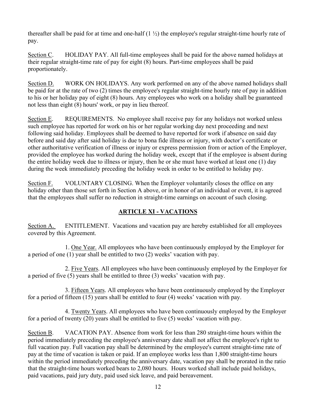thereafter shall be paid for at time and one-half  $(1 \frac{1}{2})$  the employee's regular straight-time hourly rate of pay.

Section C. HOLIDAY PAY. All full-time employees shall be paid for the above named holidays at their regular straight-time rate of pay for eight (8) hours. Part-time employees shall be paid proportionately.

Section D. WORK ON HOLIDAYS. Any work performed on any of the above named holidays shall be paid for at the rate of two (2) times the employee's regular straight-time hourly rate of pay in addition to his or her holiday pay of eight (8) hours. Any employees who work on a holiday shall be guaranteed not less than eight (8) hours' work, or pay in lieu thereof.

Section E. REQUIREMENTS. No employee shall receive pay for any holidays not worked unless such employee has reported for work on his or her regular working day next proceeding and next following said holiday. Employees shall be deemed to have reported for work if absence on said day before and said day after said holiday is due to bona fide illness or injury, with doctor's certificate or other authoritative verification of illness or injury or express permission from or action of the Employer, provided the employee has worked during the holiday week, except that if the employee is absent during the entire holiday week due to illness or injury, then he or she must have worked at least one (1) day during the week immediately preceding the holiday week in order to be entitled to holiday pay.

Section F. VOLUNTARY CLOSING. When the Employer voluntarily closes the office on any holiday other than those set forth in Section A above, or in honor of an individual or event, it is agreed that the employees shall suffer no reduction in straight-time earnings on account of such closing.

### **ARTICLE XI - VACATIONS**

Section A. ENTITLEMENT. Vacations and vacation pay are hereby established for all employees covered by this Agreement.

1. One Year. All employees who have been continuously employed by the Employer for a period of one (1) year shall be entitled to two (2) weeks' vacation with pay.

2. Five Years. All employees who have been continuously employed by the Employer for a period of five (5) years shall be entitled to three (3) weeks' vacation with pay.

3. Fifteen Years. All employees who have been continuously employed by the Employer for a period of fifteen (15) years shall be entitled to four (4) weeks' vacation with pay.

4. Twenty Years. All employees who have been continuously employed by the Employer for a period of twenty (20) years shall be entitled to five (5) weeks' vacation with pay.

Section B. VACATION PAY. Absence from work for less than 280 straight-time hours within the period immediately preceding the employee's anniversary date shall not affect the employee's right to full vacation pay. Full vacation pay shall be determined by the employee's current straight-time rate of pay at the time of vacation is taken or paid. If an employee works less than 1,800 straight-time hours within the period immediately preceding the anniversary date, vacation pay shall be prorated in the ratio that the straight-time hours worked bears to 2,080 hours. Hours worked shall include paid holidays, paid vacations, paid jury duty, paid used sick leave, and paid bereavement.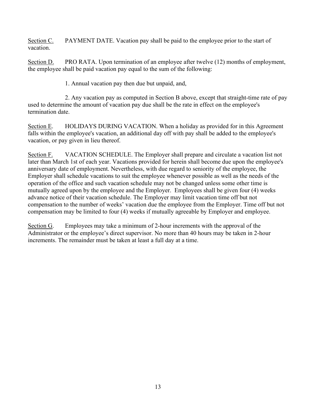Section C. PAYMENT DATE. Vacation pay shall be paid to the employee prior to the start of vacation.

Section D. PRO RATA. Upon termination of an employee after twelve (12) months of employment, the employee shall be paid vacation pay equal to the sum of the following:

1. Annual vacation pay then due but unpaid, and,

2. Any vacation pay as computed in Section B above, except that straight-time rate of pay used to determine the amount of vacation pay due shall be the rate in effect on the employee's termination date.

Section E. HOLIDAYS DURING VACATION. When a holiday as provided for in this Agreement falls within the employee's vacation, an additional day off with pay shall be added to the employee's vacation, or pay given in lieu thereof.

Section F. VACATION SCHEDULE. The Employer shall prepare and circulate a vacation list not later than March 1st of each year. Vacations provided for herein shall become due upon the employee's anniversary date of employment. Nevertheless, with due regard to seniority of the employee, the Employer shall schedule vacations to suit the employee whenever possible as well as the needs of the operation of the office and such vacation schedule may not be changed unless some other time is mutually agreed upon by the employee and the Employer. Employees shall be given four (4) weeks advance notice of their vacation schedule. The Employer may limit vacation time off but not compensation to the number of weeks' vacation due the employee from the Employer. Time off but not compensation may be limited to four (4) weeks if mutually agreeable by Employer and employee.

Section G. Employees may take a minimum of 2-hour increments with the approval of the Administrator or the employee's direct supervisor. No more than 40 hours may be taken in 2-hour increments. The remainder must be taken at least a full day at a time.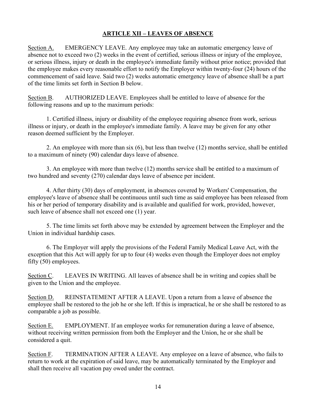#### **ARTICLE XII – LEAVES OF ABSENCE**

Section A. EMERGENCY LEAVE. Any employee may take an automatic emergency leave of absence not to exceed two (2) weeks in the event of certified, serious illness or injury of the employee, or serious illness, injury or death in the employee's immediate family without prior notice; provided that the employee makes every reasonable effort to notify the Employer within twenty-four (24) hours of the commencement of said leave. Said two (2) weeks automatic emergency leave of absence shall be a part of the time limits set forth in Section B below.

Section B. AUTHORIZED LEAVE. Employees shall be entitled to leave of absence for the following reasons and up to the maximum periods:

1. Certified illness, injury or disability of the employee requiring absence from work, serious illness or injury, or death in the employee's immediate family. A leave may be given for any other reason deemed sufficient by the Employer.

2. An employee with more than six (6), but less than twelve (12) months service, shall be entitled to a maximum of ninety (90) calendar days leave of absence.

3. An employee with more than twelve (12) months service shall be entitled to a maximum of two hundred and seventy (270) calendar days leave of absence per incident.

4. After thirty (30) days of employment, in absences covered by Workers' Compensation, the employee's leave of absence shall be continuous until such time as said employee has been released from his or her period of temporary disability and is available and qualified for work, provided, however, such leave of absence shall not exceed one (1) year.

5. The time limits set forth above may be extended by agreement between the Employer and the Union in individual hardship cases.

6. The Employer will apply the provisions of the Federal Family Medical Leave Act, with the exception that this Act will apply for up to four (4) weeks even though the Employer does not employ fifty (50) employees.

Section C. LEAVES IN WRITING. All leaves of absence shall be in writing and copies shall be given to the Union and the employee.

Section D. REINSTATEMENT AFTER A LEAVE. Upon a return from a leave of absence the employee shall be restored to the job he or she left. If this is impractical, he or she shall be restored to as comparable a job as possible.

Section E. EMPLOYMENT. If an employee works for remuneration during a leave of absence, without receiving written permission from both the Employer and the Union, he or she shall be considered a quit.

Section F. TERMINATION AFTER A LEAVE. Any employee on a leave of absence, who fails to return to work at the expiration of said leave, may be automatically terminated by the Employer and shall then receive all vacation pay owed under the contract.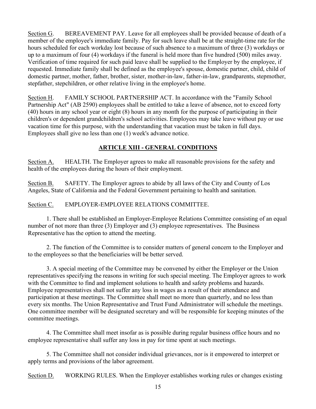Section G. BEREAVEMENT PAY. Leave for all employees shall be provided because of death of a member of the employee's immediate family. Pay for such leave shall be at the straight-time rate for the hours scheduled for each workday lost because of such absence to a maximum of three (3) workdays or up to a maximum of four (4) workdays if the funeral is held more than five hundred (500) miles away. Verification of time required for such paid leave shall be supplied to the Employer by the employee, if requested. Immediate family shall be defined as the employee's spouse, domestic partner, child, child of domestic partner, mother, father, brother, sister, mother-in-law, father-in-law, grandparents, stepmother, stepfather, stepchildren, or other relative living in the employee's home.

Section H. FAMILY SCHOOL PARTNERSHIP ACT. In accordance with the "Family School Partnership Act" (AB 2590) employees shall be entitled to take a leave of absence, not to exceed forty (40) hours in any school year or eight (8) hours in any month for the purpose of participating in their children's or dependent grandchildren's school activities. Employees may take leave without pay or use vacation time for this purpose, with the understanding that vacation must be taken in full days. Employees shall give no less than one (1) week's advance notice.

#### **ARTICLE XIII - GENERAL CONDITIONS**

Section A. HEALTH. The Employer agrees to make all reasonable provisions for the safety and health of the employees during the hours of their employment.

Section B. SAFETY. The Employer agrees to abide by all laws of the City and County of Los Angeles, State of California and the Federal Government pertaining to health and sanitation.

Section C. EMPLOYER-EMPLOYEE RELATIONS COMMITTEE.

1. There shall be established an Employer-Employee Relations Committee consisting of an equal number of not more than three (3) Employer and (3) employee representatives. The Business Representative has the option to attend the meeting.

2. The function of the Committee is to consider matters of general concern to the Employer and to the employees so that the beneficiaries will be better served.

3. A special meeting of the Committee may be convened by either the Employer or the Union representatives specifying the reasons in writing for such special meeting. The Employer agrees to work with the Committee to find and implement solutions to health and safety problems and hazards. Employee representatives shall not suffer any loss in wages as a result of their attendance and participation at these meetings. The Committee shall meet no more than quarterly, and no less than every six months. The Union Representative and Trust Fund Administrator will schedule the meetings. One committee member will be designated secretary and will be responsible for keeping minutes of the committee meetings.

4. The Committee shall meet insofar as is possible during regular business office hours and no employee representative shall suffer any loss in pay for time spent at such meetings.

5. The Committee shall not consider individual grievances, nor is it empowered to interpret or apply terms and provisions of the labor agreement.

Section D. WORKING RULES. When the Employer establishes working rules or changes existing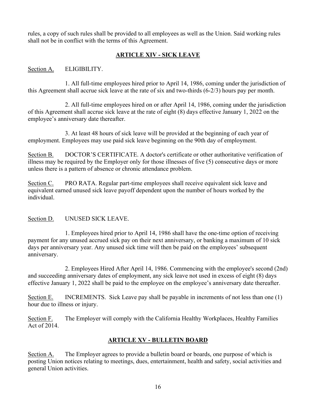rules, a copy of such rules shall be provided to all employees as well as the Union. Said working rules shall not be in conflict with the terms of this Agreement.

#### **ARTICLE XIV - SICK LEAVE**

Section A. ELIGIBILITY.

1. All full-time employees hired prior to April 14, 1986, coming under the jurisdiction of this Agreement shall accrue sick leave at the rate of six and two-thirds (6-2/3) hours pay per month.

2. All full-time employees hired on or after April 14, 1986, coming under the jurisdiction of this Agreement shall accrue sick leave at the rate of eight (8) days effective January 1, 2022 on the employee's anniversary date thereafter.

 3. At least 48 hours of sick leave will be provided at the beginning of each year of employment. Employees may use paid sick leave beginning on the 90th day of employment.

Section B. DOCTOR'S CERTIFICATE. A doctor's certificate or other authoritative verification of illness may be required by the Employer only for those illnesses of five (5) consecutive days or more unless there is a pattern of absence or chronic attendance problem.

Section C. PRO RATA. Regular part-time employees shall receive equivalent sick leave and equivalent earned unused sick leave payoff dependent upon the number of hours worked by the individual.

#### Section D. UNUSED SICK LEAVE.

1. Employees hired prior to April 14, 1986 shall have the one-time option of receiving payment for any unused accrued sick pay on their next anniversary, or banking a maximum of 10 sick days per anniversary year. Any unused sick time will then be paid on the employees' subsequent anniversary.

2. Employees Hired After April 14, 1986. Commencing with the employee's second (2nd) and succeeding anniversary dates of employment, any sick leave not used in excess of eight (8) days effective January 1, 2022 shall be paid to the employee on the employee's anniversary date thereafter.

Section E. INCREMENTS. Sick Leave pay shall be payable in increments of not less than one (1) hour due to illness or injury.

Section F. The Employer will comply with the California Healthy Workplaces, Healthy Families Act of 2014.

#### **ARTICLE XV - BULLETIN BOARD**

Section A. The Employer agrees to provide a bulletin board or boards, one purpose of which is posting Union notices relating to meetings, dues, entertainment, health and safety, social activities and general Union activities.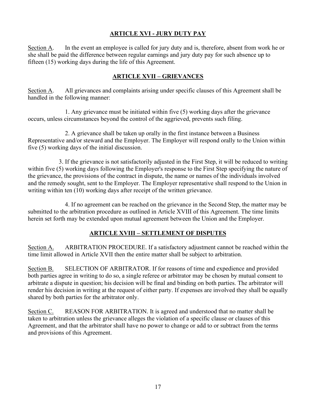#### **ARTICLE XVI - JURY DUTY PAY**

Section A. In the event an employee is called for jury duty and is, therefore, absent from work he or she shall be paid the difference between regular earnings and jury duty pay for such absence up to fifteen (15) working days during the life of this Agreement.

#### **ARTICLE XVII – GRIEVANCES**

Section A. All grievances and complaints arising under specific clauses of this Agreement shall be handled in the following manner:

1. Any grievance must be initiated within five (5) working days after the grievance occurs, unless circumstances beyond the control of the aggrieved, prevents such filing.

2. A grievance shall be taken up orally in the first instance between a Business Representative and/or steward and the Employer. The Employer will respond orally to the Union within five (5) working days of the initial discussion.

 3. If the grievance is not satisfactorily adjusted in the First Step, it will be reduced to writing within five (5) working days following the Employer's response to the First Step specifying the nature of the grievance, the provisions of the contract in dispute, the name or names of the individuals involved and the remedy sought, sent to the Employer. The Employer representative shall respond to the Union in writing within ten (10) working days after receipt of the written grievance.

4. If no agreement can be reached on the grievance in the Second Step, the matter may be submitted to the arbitration procedure as outlined in Article XVIII of this Agreement. The time limits herein set forth may be extended upon mutual agreement between the Union and the Employer.

#### **ARTICLE XVIII – SETTLEMENT OF DISPUTES**

Section A. ARBITRATION PROCEDURE. If a satisfactory adjustment cannot be reached within the time limit allowed in Article XVII then the entire matter shall be subject to arbitration.

Section B. SELECTION OF ARBITRATOR. If for reasons of time and expedience and provided both parties agree in writing to do so, a single referee or arbitrator may be chosen by mutual consent to arbitrate a dispute in question; his decision will be final and binding on both parties. The arbitrator will render his decision in writing at the request of either party. If expenses are involved they shall be equally shared by both parties for the arbitrator only.

Section C. REASON FOR ARBITRATION. It is agreed and understood that no matter shall be taken to arbitration unless the grievance alleges the violation of a specific clause or clauses of this Agreement, and that the arbitrator shall have no power to change or add to or subtract from the terms and provisions of this Agreement.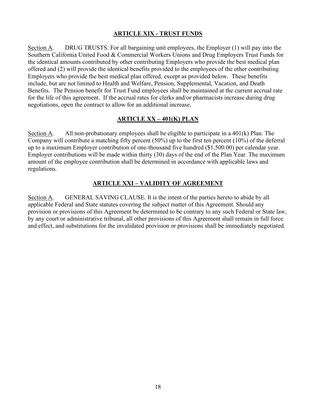#### **ARTICLE XIX - TRUST FUNDS**

Section A. DRUG TRUSTS. For all bargaining unit employees, the Employer (1) will pay into the Southern California United Food & Commercial Workers Unions and Drug Employers Trust Funds for the identical amounts contributed by other contributing Employers who provide the best medical plan offered and (2) will provide the identical benefits provided to the employees of the other contributing Employers who provide the best medical plan offered, except as provided below. These benefits include, but are not limited to Health and Welfare, Pension, Supplemental, Vacation, and Death Benefits. The Pension benefit for Trust Fund employees shall be maintained at the current accrual rate for the life of this agreement. If the accrual rates for clerks and/or pharmacists increase during drug negotiations, open the contract to allow for an additional increase.

#### **ARTICLE XX – 401(K) PLAN**

Section A. All non-probationary employees shall be eligible to participate in a 401(k) Plan. The Company will contribute a matching fifty percent (50%) up to the first ten percent (10%) of the deferral up to a maximum Employer contribution of one-thousand five hundred (\$1,500.00) per calendar year. Employer contributions will be made within thirty (30) days of the end of the Plan Year. The maximum amount of the employee contribution shall be determined in accordance with applicable laws and regulations.

#### **ARTICLE XXI – VALIDITY OF AGREEMENT**

Section A. GENERAL SAVING CLAUSE. It is the intent of the parties hereto to abide by all applicable Federal and State statutes covering the subject matter of this Agreement. Should any provision or provisions of this Agreement be determined to be contrary to any such Federal or State law, by any court or administrative tribunal, all other provisions of this Agreement shall remain in full force and effect, and substitutions for the invalidated provision or provisions shall be immediately negotiated.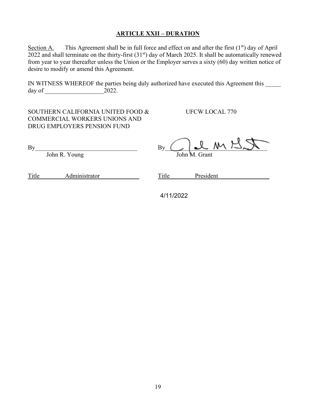#### **ARTICLE XXII – DURATION**

Section A. This Agreement shall be in full force and effect on and after the first  $(1<sup>st</sup>)$  day of April 2022 and shall terminate on the thirty-first (31<sup>st</sup>) day of March 2025. It shall be automatically renewed from year to year thereafter unless the Union or the Employer serves a sixty (60) day written notice of desire to modify or amend this Agreement.

IN WITNESS WHEREOF the parties being duly authorized have executed this Agreement this day of \_\_\_\_\_\_\_\_\_\_\_\_\_\_\_\_\_\_\_2022.

SOUTHERN CALIFORNIA UNITED FOOD & UFCW LOCAL 770 COMMERCIAL WORKERS UNIONS AND DRUG EMPLOYERS PENSION FUND

 $\nonumber \text{By} \begin{picture}(150,110) \put(0,0){\line(1,0){150}} \put(15,0){\line(1,0){150}} \put(15,0){\line(1,0){150}} \put(15,0){\line(1,0){150}} \put(15,0){\line(1,0){150}} \put(15,0){\line(1,0){150}} \put(15,0){\line(1,0){150}} \put(15,0){\line(1,0){150}} \put(15,0){\line(1,0){150}} \put(15,0){\line(1,0){150}} \put(15,0){\line$ John R. Young John M. Grant

Title Administrator Title President

4/11/2022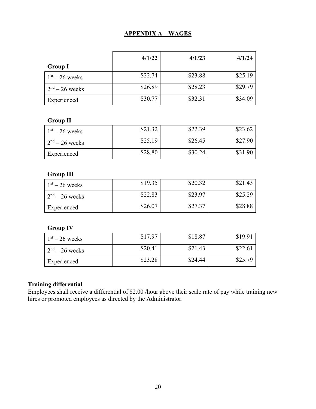#### **APPENDIX A – WAGES**

|                  | 4/1/22  | 4/1/23  | 4/1/24  |
|------------------|---------|---------|---------|
| <b>Group I</b>   |         |         |         |
| $1st - 26$ weeks | \$22.74 | \$23.88 | \$25.19 |
| $2nd - 26$ weeks | \$26.89 | \$28.23 | \$29.79 |
| Experienced      | \$30.77 | \$32.31 | \$34.09 |

### **Group II**

| $1st - 26$ weeks | \$21.32 | \$22.39 | \$23.62 |
|------------------|---------|---------|---------|
| $2nd - 26$ weeks | \$25.19 | \$26.45 | \$27.90 |
| Experienced      | \$28.80 | \$30.24 | \$31.90 |

#### **Group III**

| $1st - 26$ weeks | \$19.35 | \$20.32 | \$21.43 |
|------------------|---------|---------|---------|
| $2nd - 26$ weeks | \$22.83 | \$23.97 | \$25.29 |
| Experienced      | \$26.07 | \$27.37 | \$28.88 |

### **Group IV**

| $1st - 26$ weeks | \$17.97 | \$18.87 | \$19.91 |
|------------------|---------|---------|---------|
| $2nd - 26$ weeks | \$20.41 | \$21.43 | \$22.61 |
| Experienced      | \$23.28 | \$24.44 | \$25.79 |

#### **Training differential**

Employees shall receive a differential of \$2.00 /hour above their scale rate of pay while training new hires or promoted employees as directed by the Administrator.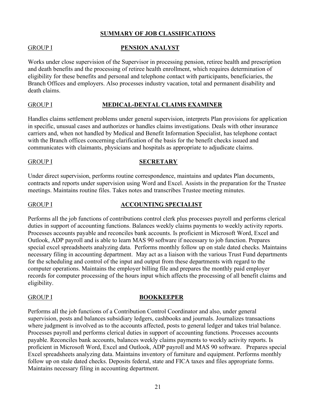#### **SUMMARY OF JOB CLASSIFICATIONS**

#### GROUP I **PENSION ANALYST**

Works under close supervision of the Supervisor in processing pension, retiree health and prescription and death benefits and the processing of retiree health enrollment, which requires determination of eligibility for these benefits and personal and telephone contact with participants, beneficiaries, the Branch Offices and employers. Also processes industry vacation, total and permanent disability and death claims.

#### GROUP I **MEDICAL-DENTAL CLAIMS EXAMINER**

Handles claims settlement problems under general supervision, interprets Plan provisions for application in specific, unusual cases and authorizes or handles claims investigations. Deals with other insurance carriers and, when not handled by Medical and Benefit Information Specialist, has telephone contact with the Branch offices concerning clarification of the basis for the benefit checks issued and communicates with claimants, physicians and hospitals as appropriate to adjudicate claims.

#### GROUP I **SECRETARY**

Under direct supervision, performs routine correspondence, maintains and updates Plan documents, contracts and reports under supervision using Word and Excel. Assists in the preparation for the Trustee meetings. Maintains routine files. Takes notes and transcribes Trustee meeting minutes.

#### GROUP I **ACCOUNTING SPECIALIST**

Performs all the job functions of contributions control clerk plus processes payroll and performs clerical duties in support of accounting functions. Balances weekly claims payments to weekly activity reports. Processes accounts payable and reconciles bank accounts. Is proficient in Microsoft Word, Excel and Outlook, ADP payroll and is able to learn MAS 90 software if necessary to job function. Prepares special excel spreadsheets analyzing data. Performs monthly follow up on stale dated checks. Maintains necessary filing in accounting department. May act as a liaison with the various Trust Fund departments for the scheduling and control of the input and output from these departments with regard to the computer operations. Maintains the employer billing file and prepares the monthly paid employer records for computer processing of the hours input which affects the processing of all benefit claims and eligibility.

#### GROUP I **BOOKKEEPER**

Performs all the job functions of a Contribution Control Coordinator and also, under general supervision, posts and balances subsidiary ledgers, cashbooks and journals. Journalizes transactions where judgment is involved as to the accounts affected, posts to general ledger and takes trial balance. Processes payroll and performs clerical duties in support of accounting functions. Processes accounts payable. Reconciles bank accounts, balances weekly claims payments to weekly activity reports. Is proficient in Microsoft Word, Excel and Outlook, ADP payroll and MAS 90 software. Prepares special Excel spreadsheets analyzing data. Maintains inventory of furniture and equipment. Performs monthly follow up on stale dated checks. Deposits federal, state and FICA taxes and files appropriate forms. Maintains necessary filing in accounting department.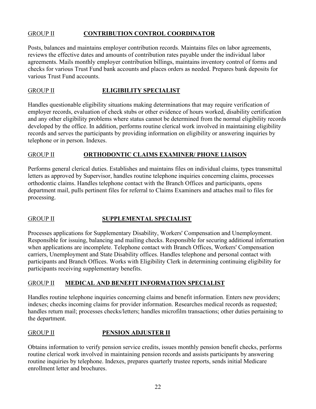#### GROUP II **CONTRIBUTION CONTROL COORDINATOR**

Posts, balances and maintains employer contribution records. Maintains files on labor agreements, reviews the effective dates and amounts of contribution rates payable under the individual labor agreements. Mails monthly employer contribution billings, maintains inventory control of forms and checks for various Trust Fund bank accounts and places orders as needed. Prepares bank deposits for various Trust Fund accounts.

#### GROUP II **ELIGIBILITY SPECIALIST**

Handles questionable eligibility situations making determinations that may require verification of employer records, evaluation of check stubs or other evidence of hours worked, disability certification and any other eligibility problems where status cannot be determined from the normal eligibility records developed by the office. In addition, performs routine clerical work involved in maintaining eligibility records and serves the participants by providing information on eligibility or answering inquiries by telephone or in person. Indexes.

#### GROUP II **ORTHODONTIC CLAIMS EXAMINER/ PHONE LIAISON**

Performs general clerical duties. Establishes and maintains files on individual claims, types transmittal letters as approved by Supervisor, handles routine telephone inquiries concerning claims, processes orthodontic claims. Handles telephone contact with the Branch Offices and participants, opens department mail, pulls pertinent files for referral to Claims Examiners and attaches mail to files for processing.

#### GROUP II **SUPPLEMENTAL SPECIALIST**

Processes applications for Supplementary Disability, Workers' Compensation and Unemployment. Responsible for issuing, balancing and mailing checks. Responsible for securing additional information when applications are incomplete. Telephone contact with Branch Offices, Workers' Compensation carriers, Unemployment and State Disability offices. Handles telephone and personal contact with participants and Branch Offices. Works with Eligibility Clerk in determining continuing eligibility for participants receiving supplementary benefits.

#### GROUP II **MEDICAL AND BENEFIT INFORMATION SPECIALIST**

Handles routine telephone inquiries concerning claims and benefit information. Enters new providers; indexes; checks incoming claims for provider information. Researches medical records as requested; handles return mail; processes checks/letters; handles microfilm transactions; other duties pertaining to the department.

#### GROUP II **PENSION ADJUSTER II**

Obtains information to verify pension service credits, issues monthly pension benefit checks, performs routine clerical work involved in maintaining pension records and assists participants by answering routine inquiries by telephone. Indexes, prepares quarterly trustee reports, sends initial Medicare enrollment letter and brochures.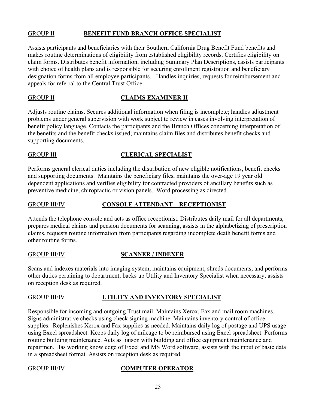#### GROUP II **BENEFIT FUND BRANCH OFFICE SPECIALIST**

Assists participants and beneficiaries with their Southern California Drug Benefit Fund benefits and makes routine determinations of eligibility from established eligibility records. Certifies eligibility on claim forms. Distributes benefit information, including Summary Plan Descriptions, assists participants with choice of health plans and is responsible for securing enrollment registration and beneficiary designation forms from all employee participants. Handles inquiries, requests for reimbursement and appeals for referral to the Central Trust Office.

#### GROUP II **CLAIMS EXAMINER II**

Adjusts routine claims. Secures additional information when filing is incomplete; handles adjustment problems under general supervision with work subject to review in cases involving interpretation of benefit policy language. Contacts the participants and the Branch Offices concerning interpretation of the benefits and the benefit checks issued; maintains claim files and distributes benefit checks and supporting documents.

#### GROUP III **CLERICAL SPECIALIST**

Performs general clerical duties including the distribution of new eligible notifications, benefit checks and supporting documents. Maintains the beneficiary files, maintains the over-age 19 year old dependent applications and verifies eligibility for contracted providers of ancillary benefits such as preventive medicine, chiropractic or vision panels. Word processing as directed.

#### GROUP III/IV **CONSOLE ATTENDANT – RECEPTIONIST**

Attends the telephone console and acts as office receptionist. Distributes daily mail for all departments, prepares medical claims and pension documents for scanning, assists in the alphabetizing of prescription claims, requests routine information from participants regarding incomplete death benefit forms and other routine forms.

#### GROUP III/IV **SCANNER / INDEXER**

Scans and indexes materials into imaging system, maintains equipment, shreds documents, and performs other duties pertaining to department; backs up Utility and Inventory Specialist when necessary; assists on reception desk as required.

#### GROUP III/IV **UTILITY AND INVENTORY SPECIALIST**

Responsible for incoming and outgoing Trust mail. Maintains Xerox, Fax and mail room machines. Signs administrative checks using check signing machine. Maintains inventory control of office supplies. Replenishes Xerox and Fax supplies as needed. Maintains daily log of postage and UPS usage using Excel spreadsheet. Keeps daily log of mileage to be reimbursed using Excel spreadsheet. Performs routine building maintenance. Acts as liaison with building and office equipment maintenance and repairmen. Has working knowledge of Excel and MS Word software, assists with the input of basic data in a spreadsheet format. Assists on reception desk as required.

#### GROUP III/IV **COMPUTER OPERATOR**